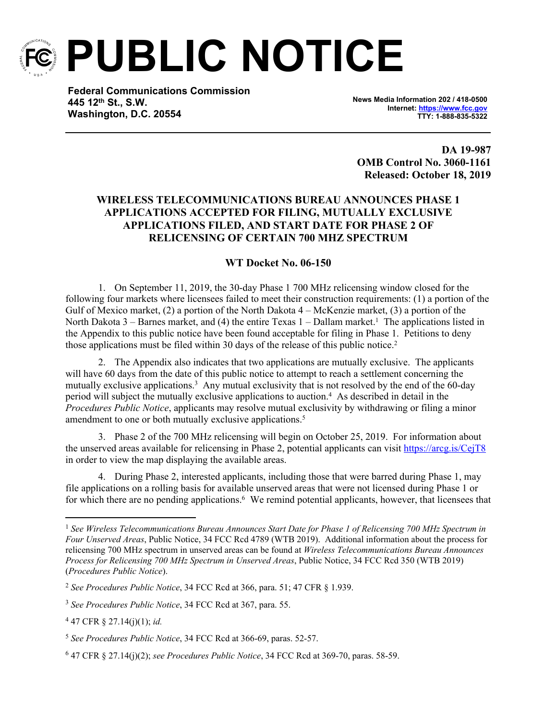

**PUBLIC NOTICE**

**Federal Communications Commission 445 12th St., S.W. Washington, D.C. 20554**

**News Media Information 202 / 418-0500 Internet:<https://www.fcc.gov> TTY: 1-888-835-5322**

**DA 19-987 OMB Control No. 3060-1161 Released: October 18, 2019**

## **WIRELESS TELECOMMUNICATIONS BUREAU ANNOUNCES PHASE 1 APPLICATIONS ACCEPTED FOR FILING, MUTUALLY EXCLUSIVE APPLICATIONS FILED, AND START DATE FOR PHASE 2 OF RELICENSING OF CERTAIN 700 MHZ SPECTRUM**

## **WT Docket No. 06-150**

1. On September 11, 2019, the 30-day Phase 1 700 MHz relicensing window closed for the following four markets where licensees failed to meet their construction requirements: (1) a portion of the Gulf of Mexico market, (2) a portion of the North Dakota 4 – McKenzie market, (3) a portion of the North Dakota  $3$  – Barnes market, and (4) the entire Texas  $1$  – Dallam market.<sup>1</sup> The applications listed in the Appendix to this public notice have been found acceptable for filing in Phase 1. Petitions to deny those applications must be filed within 30 days of the release of this public notice.<sup>2</sup>

2. The Appendix also indicates that two applications are mutually exclusive. The applicants will have 60 days from the date of this public notice to attempt to reach a settlement concerning the mutually exclusive applications.<sup>3</sup> Any mutual exclusivity that is not resolved by the end of the 60-day period will subject the mutually exclusive applications to auction.<sup>4</sup> As described in detail in the *Procedures Public Notice*, applicants may resolve mutual exclusivity by withdrawing or filing a minor amendment to one or both mutually exclusive applications.<sup>5</sup>

3. Phase 2 of the 700 MHz relicensing will begin on October 25, 2019. For information about the unserved areas available for relicensing in Phase 2, potential applicants can visit<https://arcg.is/CejT8> in order to view the map displaying the available areas.

4. During Phase 2, interested applicants, including those that were barred during Phase 1, may file applications on a rolling basis for available unserved areas that were not licensed during Phase 1 or for which there are no pending applications.<sup>6</sup> We remind potential applicants, however, that licensees that

<sup>1</sup> *See Wireless Telecommunications Bureau Announces Start Date for Phase 1 of Relicensing 700 MHz Spectrum in Four Unserved Areas*, Public Notice, 34 FCC Rcd 4789 (WTB 2019). Additional information about the process for relicensing 700 MHz spectrum in unserved areas can be found at *Wireless Telecommunications Bureau Announces Process for Relicensing 700 MHz Spectrum in Unserved Areas*, Public Notice, 34 FCC Rcd 350 (WTB 2019) (*Procedures Public Notice*).

<sup>2</sup> *See Procedures Public Notice*, 34 FCC Rcd at 366, para. 51; 47 CFR § 1.939.

<sup>3</sup> *See Procedures Public Notice*, 34 FCC Rcd at 367, para. 55.

<sup>4</sup> 47 CFR § 27.14(j)(1); *id.*

<sup>5</sup> *See Procedures Public Notice*, 34 FCC Rcd at 366-69, paras. 52-57.

<sup>6</sup> 47 CFR § 27.14(j)(2); *see Procedures Public Notice*, 34 FCC Rcd at 369-70, paras. 58-59.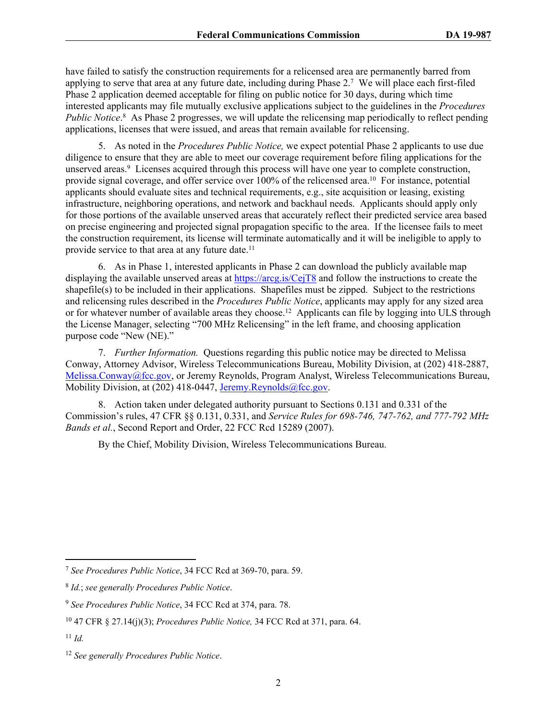have failed to satisfy the construction requirements for a relicensed area are permanently barred from applying to serve that area at any future date, including during Phase 2.<sup>7</sup> We will place each first-filed Phase 2 application deemed acceptable for filing on public notice for 30 days, during which time interested applicants may file mutually exclusive applications subject to the guidelines in the *Procedures*  Public Notice.<sup>8</sup> As Phase 2 progresses, we will update the relicensing map periodically to reflect pending applications, licenses that were issued, and areas that remain available for relicensing.

5. As noted in the *Procedures Public Notice,* we expect potential Phase 2 applicants to use due diligence to ensure that they are able to meet our coverage requirement before filing applications for the unserved areas.<sup>9</sup> Licenses acquired through this process will have one year to complete construction, provide signal coverage, and offer service over 100% of the relicensed area.<sup>10</sup> For instance, potential applicants should evaluate sites and technical requirements, e.g., site acquisition or leasing, existing infrastructure, neighboring operations, and network and backhaul needs. Applicants should apply only for those portions of the available unserved areas that accurately reflect their predicted service area based on precise engineering and projected signal propagation specific to the area. If the licensee fails to meet the construction requirement, its license will terminate automatically and it will be ineligible to apply to provide service to that area at any future date.<sup>11</sup>

6. As in Phase 1, interested applicants in Phase 2 can download the publicly available map displaying the available unserved areas at <https://arcg.is/CejT8>and follow the instructions to create the shapefile(s) to be included in their applications. Shapefiles must be zipped. Subject to the restrictions and relicensing rules described in the *Procedures Public Notice*, applicants may apply for any sized area or for whatever number of available areas they choose.<sup>12</sup> Applicants can file by logging into ULS through the License Manager, selecting "700 MHz Relicensing" in the left frame, and choosing application purpose code "New (NE)."

7. *Further Information.* Questions regarding this public notice may be directed to Melissa Conway, Attorney Advisor, Wireless Telecommunications Bureau, Mobility Division, at (202) 418-2887, [Melissa.Conway@fcc.gov](mailto:Melissa.Conway@fcc.gov), or Jeremy Reynolds, Program Analyst, Wireless Telecommunications Bureau, Mobility Division, at (202) 418-0447, Jeremy Reynolds@fcc.gov.

8. Action taken under delegated authority pursuant to Sections 0.131 and 0.331 of the Commission's rules, 47 CFR §§ 0.131, 0.331, and *Service Rules for 698-746, 747-762, and 777-792 MHz Bands et al.*, Second Report and Order, 22 FCC Rcd 15289 (2007).

By the Chief, Mobility Division, Wireless Telecommunications Bureau.

<sup>7</sup> *See Procedures Public Notice*, 34 FCC Rcd at 369-70, para. 59.

<sup>8</sup> *Id.*; *see generally Procedures Public Notice*.

<sup>9</sup> *See Procedures Public Notice*, 34 FCC Rcd at 374, para. 78.

<sup>10</sup> 47 CFR § 27.14(j)(3); *Procedures Public Notice,* 34 FCC Rcd at 371, para. 64.

<sup>11</sup> *Id.*

<sup>12</sup> *See generally Procedures Public Notice*.